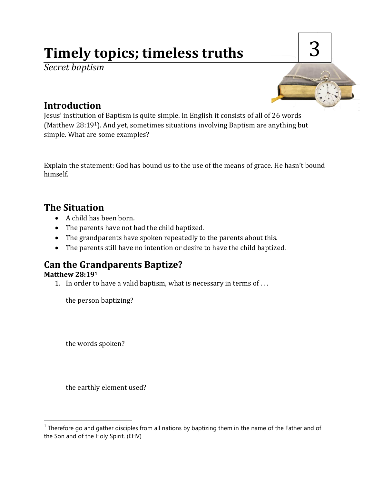# **Timely topics; timeless truths**

*Secret baptism*



# **Introduction**

Jesus' institution of Baptism is quite simple. In English it consists of all of 26 words (Matthew 28:191). And yet, sometimes situations involving Baptism are anything but simple. What are some examples?

Explain the statement: God has bound us to the use of the means of grace. He hasn't bound himself.

# **The Situation**

- A child has been born.
- The parents have not had the child baptized.
- The grandparents have spoken repeatedly to the parents about this.
- The parents still have no intention or desire to have the child baptized.

# **Can the Grandparents Baptize?**

#### **Matthew 28:19<sup>1</sup>**

 $\overline{a}$ 

1. In order to have a valid baptism, what is necessary in terms of . . .

the person baptizing?

the words spoken?

the earthly element used?

<sup>&</sup>lt;sup>1</sup> Therefore go and gather disciples from all nations by baptizing them in the name of the Father and of the Son and of the Holy Spirit. (EHV)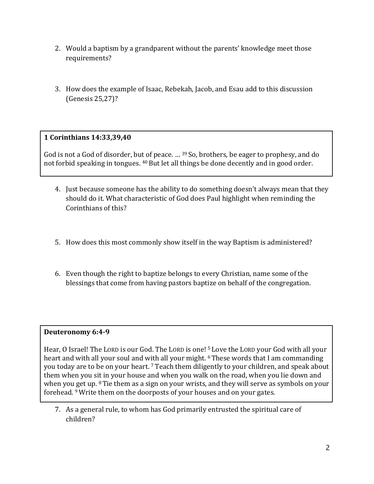- 2. Would a baptism by a grandparent without the parents' knowledge meet those requirements?
- 3. How does the example of Isaac, Rebekah, Jacob, and Esau add to this discussion (Genesis 25,27)?

#### **1 Corinthians 14:33,39,40**

God is not a God of disorder, but of peace. ... <sup>39</sup> So, brothers, be eager to prophesy, and do not forbid speaking in tongues. <sup>40</sup> But let all things be done decently and in good order.

- 4. Just because someone has the ability to do something doesn't always mean that they should do it. What characteristic of God does Paul highlight when reminding the Corinthians of this?
- 5. How does this most commonly show itself in the way Baptism is administered?
- 6. Even though the right to baptize belongs to every Christian, name some of the blessings that come from having pastors baptize on behalf of the congregation.

#### **Deuteronomy 6:4-9**

Hear, O Israel! The LORD is our God. The LORD is one! <sup>5</sup> Love the LORD your God with all your heart and with all your soul and with all your might. <sup>6</sup> These words that I am commanding you today are to be on your heart. <sup>7</sup> Teach them diligently to your children, and speak about them when you sit in your house and when you walk on the road, when you lie down and when you get up. <sup>8</sup> Tie them as a sign on your wrists, and they will serve as symbols on your forehead. <sup>9</sup>Write them on the doorposts of your houses and on your gates.

7. As a general rule, to whom has God primarily entrusted the spiritual care of children?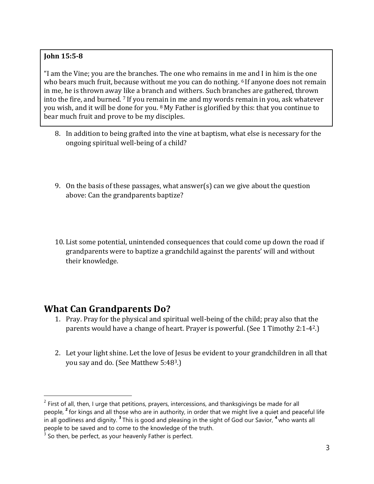#### **John 15:5-8**

"I am the Vine; you are the branches. The one who remains in me and I in him is the one who bears much fruit, because without me you can do nothing. <sup>6</sup> If anyone does not remain in me, he is thrown away like a branch and withers. Such branches are gathered, thrown into the fire, and burned. <sup>7</sup> If you remain in me and my words remain in you, ask whatever you wish, and it will be done for you. <sup>8</sup> My Father is glorified by this: that you continue to bear much fruit and prove to be my disciples.

- 8. In addition to being grafted into the vine at baptism, what else is necessary for the ongoing spiritual well-being of a child?
- 9. On the basis of these passages, what answer(s) can we give about the question above: Can the grandparents baptize?
- 10. List some potential, unintended consequences that could come up down the road if grandparents were to baptize a grandchild against the parents' will and without their knowledge.

### **What Can Grandparents Do?**

l

- 1. Pray. Pray for the physical and spiritual well-being of the child; pray also that the parents would have a change of heart. Prayer is powerful. (See 1 Timothy 2:1-42.)
- 2. Let your light shine. Let the love of Jesus be evident to your grandchildren in all that you say and do. (See Matthew 5:483.)

 $2$  First of all, then, I urge that petitions, prayers, intercessions, and thanksgivings be made for all people, **<sup>2</sup>** for kings and all those who are in authority, in order that we might live a quiet and peaceful life in all godliness and dignity. **<sup>3</sup>** This is good and pleasing in the sight of God our Savior, **<sup>4</sup>** who wants all people to be saved and to come to the knowledge of the truth.

 $3$  So then, be perfect, as your heavenly Father is perfect.